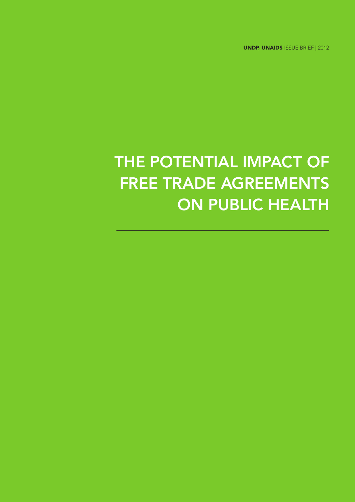UNDP, UNAIDS Issue BRIEF | 2012

# THE POTENTIAL IMPACT OF Free Trade Agreements ON PUBLIC HEALTH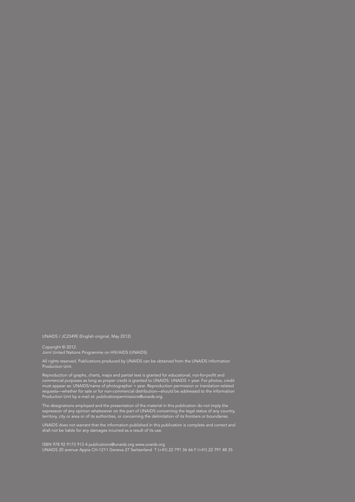UNAIDS / JC2349E (English original, May 2012)

Copyright © 2012. Joint United Nations Programme on HIV/AIDS (UNAIDS).

All rights reserved. Publications produced by UNAIDS can be obtained from the UNAIDS Information Production Unit.

Reproduction of graphs, charts, maps and partial text is granted for educational, not-for-profit and commercial purposes as long as proper credit is granted to UNAIDS: UNAIDS + year. For photos, credit must appear as: UNAIDS/name of photographer + year. Reproduction permission or translation-related requests—whether for sale or for non-commercial distribution—should be addressed to the Information Production Unit by e-mail at: publicationpermissions@unaids.org.

The designations employed and the presentation of the material in this publication do not imply the expression of any opinion whatsoever on the part of UNAIDS concerning the legal status of any country, territory, city or area or of its authorities, or concerning the delimitation of its frontiers or boundaries.

UNAIDS does not warrant that the information published in this publication is complete and correct and shall not be liable for any damages incurred as a result of its use.

ISBN 978 92 9173 913 4 publications@unaids.org www.unaids.org UNAIDS 20 avenue Appia CH-1211 Geneva 27 Switzerland T (+41) 22 791 36 66 F (+41) 22 791 48 35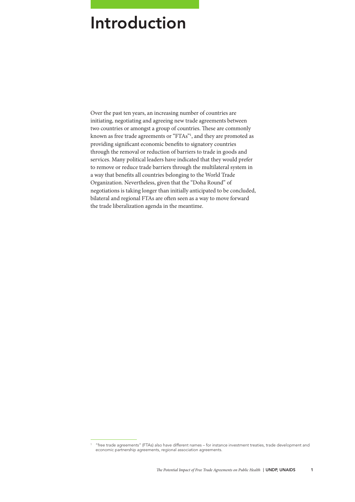### Introduction

Over the past ten years, an increasing number of countries are initiating, negotiating and agreeing new trade agreements between two countries or amongst a group of countries. These are commonly known as free trade agreements or "FTAs"1 , and they are promoted as providing significant economic benefits to signatory countries through the removal or reduction of barriers to trade in goods and services. Many political leaders have indicated that they would prefer to remove or reduce trade barriers through the multilateral system in a way that benefits all countries belonging to the World Trade Organization. Nevertheless, given that the "Doha Round" of negotiations is taking longer than initially anticipated to be concluded, bilateral and regional FTAs are often seen as a way to move forward the trade liberalization agenda in the meantime.

<sup>1</sup> "free trade agreements" (FTAs) also have different names – for instance investment treaties, trade development and economic partnership agreements, regional association agreements.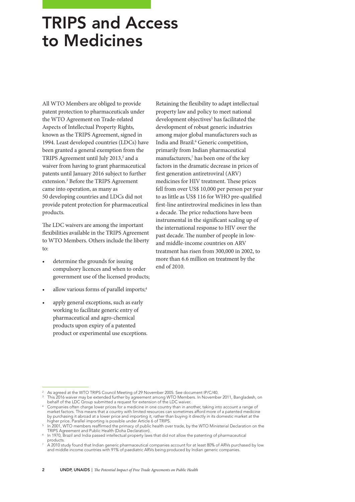## TRIPS and Access to Medicines

All WTO Members are obliged to provide patent protection to pharmaceuticals under the WTO Agreement on Trade-related Aspects of Intellectual Property Rights, known as the TRIPS Agreement, signed in 1994. Least developed countries (LDCs) have been granted a general exemption from the TRIPS Agreement until July 2013,<sup>2</sup> and a waiver from having to grant pharmaceutical patents until January 2016 subject to further extension.<sup>3</sup> Before the TRIPS Agreement came into operation, as many as 50 developing countries and LDCs did not provide patent protection for pharmaceutical products.

The LDC waivers are among the important flexibilities available in the TRIPS Agreement to WTO Members. Others include the liberty to:

- determine the grounds for issuing compulsory licences and when to order government use of the licensed products;
- allow various forms of parallel imports;<sup>4</sup>
- apply general exceptions, such as early working to facilitate generic entry of pharmaceutical and agro-chemical products upon expiry of a patented product or experimental use exceptions.

Retaining the flexibility to adapt intellectual property law and policy to meet national development objectives<sup>5</sup> has facilitated the development of robust generic industries among major global manufacturers such as India and Brazil.<sup>6</sup> Generic competition, primarily from Indian pharmaceutical manufacturers,7 has been one of the key factors in the dramatic decrease in prices of first generation antiretroviral (ARV) medicines for HIV treatment. These prices fell from over US\$ 10,000 per person per year to as little as US\$ 116 for WHO pre-qualified first-line antiretroviral medicines in less than a decade. The price reductions have been instrumental in the significant scaling up of the international response to HIV over the past decade. The number of people in lowand middle-income countries on ARV treatment has risen from 300,000 in 2002, to more than 6.6 million on treatment by the end of 2010.

As agreed at the WTO TRIPS Council Meeting of 29 November 2005. See document IP/C/40.

This 2016 waiver may be extended further by agreement among WTO Members. In November 2011, Bangladesh, on behalf of the LDC Group submitted a request for extension of the LDC waiver.

<sup>4</sup> Companies often charge lower prices for a medicine in one country than in another, taking into account a range of market factors. This means that a country with limited resources can sometimes afford more of a patented medicine by purchasing it abroad at a lower price and importing it, rather than buying it directly in its domestic market at the higher price. Parallel importing is possible under Article 6 of TRIPS.

<sup>&</sup>lt;sup>5</sup> In 2001, WTO members reaffirmed the primacy of public health over trade, by the WTO Ministerial Declaration on the TRIPS Agreement and Public Health (Doha Declaration).

In 1970, Brazil and India passed intellectual property laws that did not allow the patenting of pharmaceutical products.

A 2010 study found that Indian generic pharmaceutical companies account for at least 80% of ARVs purchased by low and middle income countries with 91% of paediatric ARVs being produced by Indian generic companies.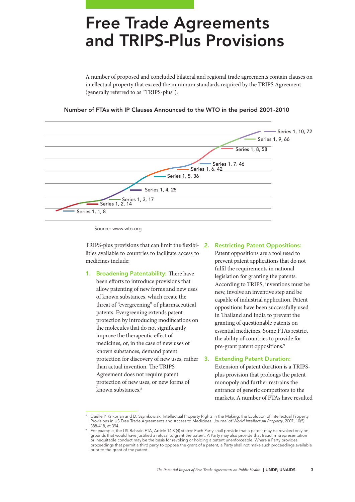### Free Trade Agreements and TRIPS-Plus Provisions

A number of proposed and concluded bilateral and regional trade agreements contain clauses on intellectual property that exceed the minimum standards required by the TRIPS Agreement (generally referred to as "TRIPS-plus").

### Number of FTAs with IP Clauses Announced to the WTO in the period 2001-2010



Source: www.wto.org

TRIPS-plus provisions that can limit the flexibi-2. Restricting Patent Oppositions: lities available to countries to facilitate access to medicines include:

1. Broadening Patentability: There have been efforts to introduce provisions that allow patenting of new forms and new uses of known substances, which create the threat of "evergreening" of pharmaceutical patents. Evergreening extends patent protection by introducing modifications on the molecules that do not significantly improve the therapeutic effect of medicines, or, in the case of new uses of known substances, demand patent protection for discovery of new uses, rather 3. than actual invention. The TRIPS Agreement does not require patent protection of new uses, or new forms of known substances.<sup>8</sup>

Patent oppositions are a tool used to prevent patent applications that do not fulfil the requirements in national legislation for granting the patents. According to TRIPS, inventions must be new, involve an inventive step and be capable of industrial application. Patent oppositions have been successfully used in Thailand and India to prevent the granting of questionable patents on essential medicines. Some FTAs restrict the ability of countries to provide for pre-grant patent oppositions.9

### **Extending Patent Duration:**

Extension of patent duration is a TRIPSplus provision that prolongs the patent monopoly and further restrains the entrance of generic competitors to the markets. A number of FTAs have resulted

Gaëlle P. Krikorian and D. Szymkowiak. Intellectual Property Rights in the Making: the Evolution of Intellectual Property Provisions in US Free Trade Agreements and Access to Medicines. *Journal of World Intellectual Property*, 2007, 10(5):

<sup>388-418,</sup> at 394. 9 For example, the US-Bahrain FTA, Article 14.8 (4) states: Each Party shall provide that a patent may be revoked only on grounds that would have justified a refusal to grant the patent. A Party may also provide that fraud, misrepresentation or inequitable conduct may be the basis for revoking or holding a patent unenforceable. Where a Party provides proceedings that permit a third party to oppose the grant of a patent, a Party shall not make such proceedings available prior to the grant of the patent.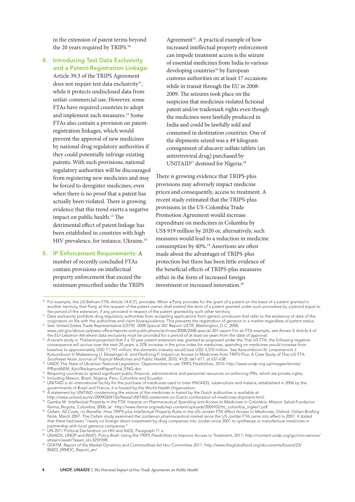in the extension of patent terms beyond the 20 years required by TRIPS.<sup>10</sup>

4. Introducing Test Data Exclusivity and a Patent-Registration Linkage: Article 39.3 of the TRIPS Agreement does not require test data exclusivity $11$ , while it protects undisclosed data from unfair commercial use. However, some FTAs have required countries to adopt and implement such measures.12 Some FTAs also contain a provision on patentregistration linkages, which would prevent the approval of new medicines by national drug regulatory authorities if they could potentially infringe existing patents. With such provisions, national regulatory authorities will be discouraged from registering new medicines and may be forced to deregister medicines, even when there is no proof that a patent has actually been violated. There is growing evidence that this trend exerts a negative impact on public health.<sup>13</sup> The detrimental effect of patent linkage has been established in countries with high HIV prevalence, for instance, Ukraine.<sup>14</sup>

5. IP Enforcement Requirements: A number of recently concluded FTAs contain provisions on intellectual property enforcement that exceed the minimum prescribed under the TRIPS Agreement<sup>15</sup>. A practical example of how increased intellectual property enforcement can impede treatment access is the seizure of essential medicines from India to various developing countries<sup>16</sup> by European customs authorities on at least 17 occasions while in transit through the EU in 2008- 2009. The seizures took place on the suspicion that medicines violated fictional patent and/or trademark rights even though the medicines were lawfully produced in India and could be lawfully sold and consumed in destination countries. One of the shipments seized was a 49 kilogram consignment of abacavir sulfate tablets (an antiretroviral drug) purchased by UNITAID<sup>17</sup> destined for Nigeria.<sup>18</sup>

There is growing evidence that TRIPS-plus provisions may adversely impact medicine prices and consequently, access to treatment. A recent study estimated that the TRIPS-plus provisions in the US-Colombia Trade Promotion Agreement would increase expenditure on medicines in Columbia by US\$ 919 million by 2020 or, alternatively, such measures would lead to a reduction in medicine consumption by 40%.19 Assertions are often made about the advantages of TRIPS-plus protection but there has been little evidence of the beneficial effects of TRIPS-plus measures either in the form of increased foreign investment or increased innovation.20

Southeast Asian Journal of Tropical Medicines and Public Health, 2010, 41(3): 667-677, at 637-638.<br><sup>14</sup> UNDP, The State of Ukrainian National Legislation: Opportunities to use TRIPS Flexibilities, 2010. http://www.undp.org IPRandAEM\_Kyiv/BackgroundPaperFinal\_ENG.doc

<sup>15</sup> Requiring countries to spend significant public financial, administrative and personnel resources on enforcing IPRs, which are private rights.

<sup>16</sup> Including Mexico, Brazil, Nigeria, Peru, Colombia and Ecuador.

17 UNITAID is an international facility for the purchase of medicines used to treat HIV/AIDS, tuberculosis and malaria, established in 2006 by the governments of Brazil and France, it is hosted by the World Health Organization.

<sup>18</sup> A statement by UNITAID condemning the seizure of the medicines in transit by the Dutch authorities is available at:

<sup>&</sup>lt;sup>10</sup> For example, the US-Bahrain FTA, Article 14.8 (7), provides: When a Party provides for the grant of a patent on the basis of a patent granted in another territory, that Party, at the request of the patent owner, shall extend the term of a patent granted under such procedure by a period equal to the period of the extension, if any, provided in respect of the patent granted by such other territory.

<sup>11</sup> Data exclusivity prohibits drug regulatory authorities from accepting applications from generic producers that refer to the existence of data of the originators on file with the authorities and claim bioequivalence. This prevents the registration of generics in a market regardless of patent status. 12 See: United States Trade Representative (USTR). *2008 Special 301 Report*. USTR, Washington, D.C, 2008,

www.ustr.gov/about-us/press-office/reports-and-publications/archives/2008/2008-special-301-report For an FTA example, see Annex V, Article 4 of the EU–Lebanon AA where data exclusivity must be provided for a period of at least six years from the date of approval.

<sup>&</sup>lt;sup>13</sup> A recent study in Thailand projected that if a 10 year patent extension was granted as proposed under the Thai-US FTA, the following negative consequence will accrue over the next 20 years: a 32% increase in the price index for medicines; spending on medicines would increase from baseline to approximately USD 11,191 million; the domestic industry would lose USD 3,370 million. See Kessomboon N. Limpananont J. Kulsomboon V. Maleewong U. Eksaengsri A. and Paothong P. Impact on Access to Medicines from TRIPS-Plus: A Case Study of Thai-US FTA.

http://www.unitaid.eu/en/20090304156/News/UNITAID-statement-on-Dutch-confiscation-of-medicines-shipment.html.

<sup>19</sup> Gamba M. *Intellectual Property in the FTA: Impacts on Pharmaceutical Spending and Access to Medicines in Colombia*. Mission Salud-Fundacion lfarma, Bogota, Columbia, 2006, at: http://www.ifarma.org/web/wp-content/uploads/2009/02/tlc\_colombia\_ingles1.pdf<br>Oxfam. All Costs, no Benefits: How TRIPS-plus Intellectual Property Rules in the US–Jordan FTA Affect Acces

Note, March 2007. The Oxfam study examined the Jordanian pharmaceutical market since the US-Jordan FTA came into effect in 2001. It stated that there had been "nearly no foreign direct investment by drug companies into Jordan since 2001 to synthesize or manufacture medicines in partnership with local generics companies."<br>
<sup>21</sup> UN 2011 Political Declaration on HIV and AIDS, Paragraph 71 a.

<sup>&</sup>lt;sup>22</sup> UNAIDS, UNDP and WHO, Policy Brief: Using the TRIPS Flexibilities to Improve Access to Treatment, 2011, http://content.undp.org/go/cms-service/ stream/asset/?asset\_id=3259398

<sup>23</sup> GFATM, Report of the Market Dynamics and Commodities Ad Hoc Committee 2011, http://www.theglobalfund.org/documents/board/23/ BM23\_09MDC\_Report\_en/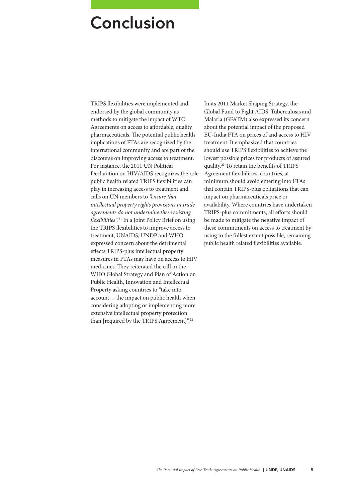### Conclusion

TRIPS flexibilities were implemented and endorsed by the global community as methods to mitigate the impact of WTO Agreements on access to affordable, quality pharmaceuticals. The potential public health implications of FTAs are recognized by the international community and are part of the discourse on improving access to treatment. For instance, the 2011 UN Political Declaration on HIV/AIDS recognizes the role public health related TRIPS flexibilities can play in increasing access to treatment and calls on UN members to *"ensure that intellectual property rights provisions in trade agreements do not undermine these existing flexibilities"*. 21 In a Joint Policy Brief on using the TRIPS flexibilities to improve access to treatment, UNAIDS, UNDP and WHO expressed concern about the detrimental effects TRIPS-plus intellectual property measures in FTAs may have on access to HIV medicines. They reiterated the call in the WHO Global Strategy and Plan of Action on Public Health, Innovation and Intellectual Property asking countries to "take into account… the impact on public health when considering adopting or implementing more extensive intellectual property protection than [required by the TRIPS Agreement]".22

In its 2011 Market Shaping Strategy, the Global Fund to Fight AIDS, Tuberculosis and Malaria (GFATM) also expressed its concern about the potential impact of the proposed EU-India FTA on prices of and access to HIV treatment. It emphasized that countries should use TRIPS flexibilities to achieve the lowest possible prices for products of assured quality.23 To retain the benefits of TRIPS Agreement flexibilities, countries, at minimum should avoid entering into FTAs that contain TRIPS-plus obligations that can impact on pharmaceuticals price or availability. Where countries have undertaken TRIPS-plus commitments, all efforts should be made to mitigate the negative impact of these commitments on access to treatment by using to the fullest extent possible, remaining public health related flexibilities available.